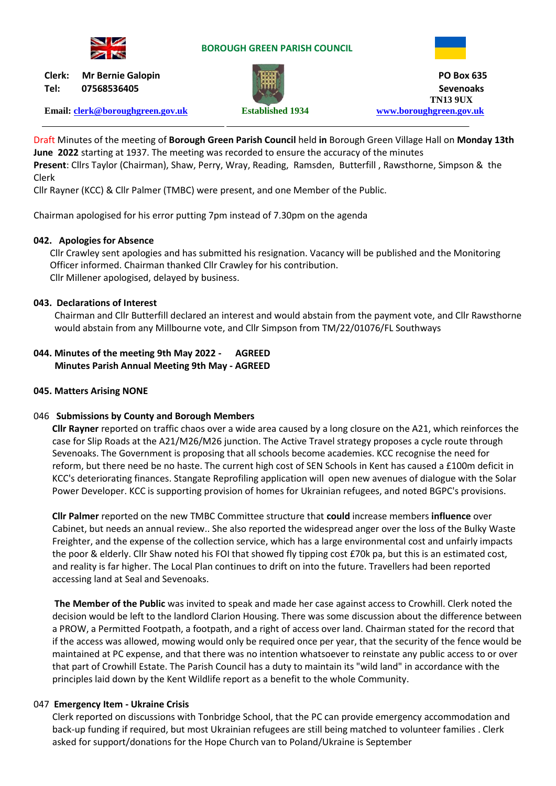

#### **BOROUGH GREEN PARISH COUNCIL**



**Tel: 07568536405 Sevenoaks**

**Clerk: Mr Bernie Galopin PO Box 635 TN13 9UX Email: [clerk@boroughgreen.gov.uk](mailto:clerk@boroughgreen.gov.uk) Established 1934 [www.boroughgreen.gov.uk](http://www.boroughgreen.gov.uk/)**

Draft Minutes of the meeting of **Borough Green Parish Council** held **in** Borough Green Village Hall on **Monday 13th June 2022** starting at 1937. The meeting was recorded to ensure the accuracy of the minutes **Present**: Cllrs Taylor (Chairman), Shaw, Perry, Wray, Reading, Ramsden, Butterfill , Rawsthorne, Simpson & the Clerk

Cllr Rayner (KCC) & Cllr Palmer (TMBC) were present, and one Member of the Public.

Chairman apologised for his error putting 7pm instead of 7.30pm on the agenda

#### **042. Apologies for Absence**

 Cllr Crawley sent apologies and has submitted his resignation. Vacancy will be published and the Monitoring Officer informed. Chairman thanked Cllr Crawley for his contribution. Cllr Millener apologised, delayed by business.

# **043. Declarations of Interest**

Chairman and Cllr Butterfill declared an interest and would abstain from the payment vote, and Cllr Rawsthorne would abstain from any Millbourne vote, and Cllr Simpson from TM/22/01076/FL Southways

# **044. Minutes of the meeting 9th May 2022 - AGREED Minutes Parish Annual Meeting 9th May - AGREED**

#### **045. Matters Arising NONE**

#### 046 **Submissions by County and Borough Members**

 **Cllr Rayner** reported on traffic chaos over a wide area caused by a long closure on the A21, which reinforces the case for Slip Roads at the A21/M26/M26 junction. The Active Travel strategy proposes a cycle route through Sevenoaks. The Government is proposing that all schools become academies. KCC recognise the need for reform, but there need be no haste. The current high cost of SEN Schools in Kent has caused a £100m deficit in KCC's deteriorating finances. Stangate Reprofiling application will open new avenues of dialogue with the Solar Power Developer. KCC is supporting provision of homes for Ukrainian refugees, and noted BGPC's provisions.

 **Cllr Palmer** reported on the new TMBC Committee structure that **could** increase members **influence** over Cabinet, but needs an annual review.. She also reported the widespread anger over the loss of the Bulky Waste Freighter, and the expense of the collection service, which has a large environmental cost and unfairly impacts the poor & elderly. Cllr Shaw noted his FOI that showed fly tipping cost £70k pa, but this is an estimated cost, and reality is far higher. The Local Plan continues to drift on into the future. Travellers had been reported accessing land at Seal and Sevenoaks.

 **The Member of the Public** was invited to speak and made her case against access to Crowhill. Clerk noted the decision would be left to the landlord Clarion Housing. There was some discussion about the difference between a PROW, a Permitted Footpath, a footpath, and a right of access over land. Chairman stated for the record that if the access was allowed, mowing would only be required once per year, that the security of the fence would be maintained at PC expense, and that there was no intention whatsoever to reinstate any public access to or over that part of Crowhill Estate. The Parish Council has a duty to maintain its "wild land" in accordance with the principles laid down by the Kent Wildlife report as a benefit to the whole Community.

#### 047 **Emergency Item - Ukraine Crisis**

Clerk reported on discussions with Tonbridge School, that the PC can provide emergency accommodation and back-up funding if required, but most Ukrainian refugees are still being matched to volunteer families . Clerk asked for support/donations for the Hope Church van to Poland/Ukraine is September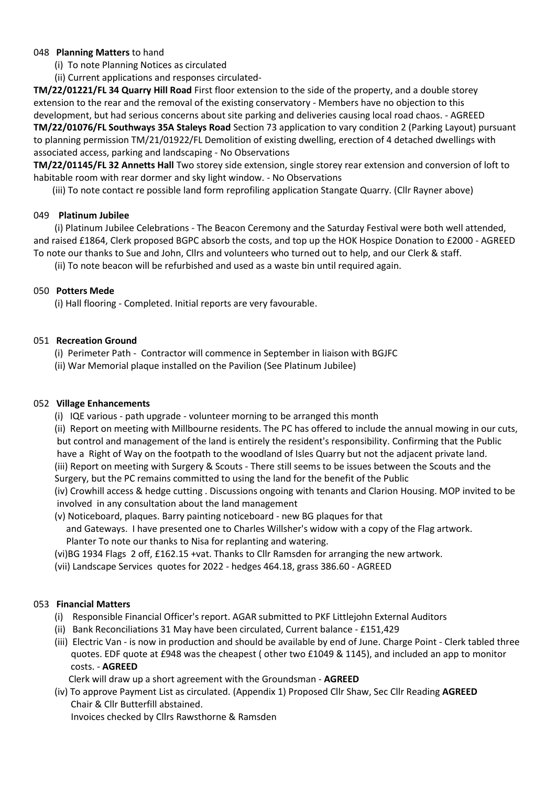# 048 **Planning Matters** to hand

- (i) To note Planning Notices as circulated
- (ii) Current applications and responses circulated-

**TM/22/01221/FL 34 Quarry Hill Road** First floor extension to the side of the property, and a double storey extension to the rear and the removal of the existing conservatory - Members have no objection to this development, but had serious concerns about site parking and deliveries causing local road chaos. - AGREED **TM/22/01076/FL Southways 35A Staleys Road** Section 73 application to vary condition 2 (Parking Layout) pursuant to planning permission TM/21/01922/FL Demolition of existing dwelling, erection of 4 detached dwellings with associated access, parking and landscaping - No Observations

**TM/22/01145/FL 32 Annetts Hall** Two storey side extension, single storey rear extension and conversion of loft to habitable room with rear dormer and sky light window. - No Observations

(iii) To note contact re possible land form reprofiling application Stangate Quarry. (Cllr Rayner above)

# 049 **Platinum Jubilee**

 (i) Platinum Jubilee Celebrations - The Beacon Ceremony and the Saturday Festival were both well attended, and raised £1864, Clerk proposed BGPC absorb the costs, and top up the HOK Hospice Donation to £2000 - AGREED To note our thanks to Sue and John, Cllrs and volunteers who turned out to help, and our Clerk & staff.

(ii) To note beacon will be refurbished and used as a waste bin until required again.

# 050 **Potters Mede**

(i) Hall flooring - Completed. Initial reports are very favourable.

# 051 **Recreation Ground**

(i) Perimeter Path - Contractor will commence in September in liaison with BGJFC

(ii) War Memorial plaque installed on the Pavilion (See Platinum Jubilee)

#### 052 **Village Enhancements**

- (i) IQE various path upgrade volunteer morning to be arranged this month
- (ii) Report on meeting with Millbourne residents. The PC has offered to include the annual mowing in our cuts, but control and management of the land is entirely the resident's responsibility. Confirming that the Public have a Right of Way on the footpath to the woodland of Isles Quarry but not the adjacent private land.
- (iii) Report on meeting with Surgery & Scouts There still seems to be issues between the Scouts and the Surgery, but the PC remains committed to using the land for the benefit of the Public
- (iv) Crowhill access & hedge cutting . Discussions ongoing with tenants and Clarion Housing. MOP invited to be involved in any consultation about the land management
- (v) Noticeboard, plaques. Barry painting noticeboard new BG plaques for that and Gateways. I have presented one to Charles Willsher's widow with a copy of the Flag artwork. Planter To note our thanks to Nisa for replanting and watering.
- (vi)BG 1934 Flags 2 off, £162.15 +vat. Thanks to Cllr Ramsden for arranging the new artwork.
- (vii) Landscape Services quotes for 2022 hedges 464.18, grass 386.60 AGREED

# 053 **Financial Matters**

- (i) Responsible Financial Officer's report. AGAR submitted to PKF Littlejohn External Auditors
- (ii) Bank Reconciliations 31 May have been circulated, Current balance £151,429
- (iii) Electric Van is now in production and should be available by end of June. Charge Point Clerk tabled three quotes. EDF quote at £948 was the cheapest ( other two £1049 & 1145), and included an app to monitor costs. - **AGREED**

Clerk will draw up a short agreement with the Groundsman - **AGREED**

 (iv) To approve Payment List as circulated. (Appendix 1) Proposed Cllr Shaw, Sec Cllr Reading **AGREED** Chair & Cllr Butterfill abstained.

Invoices checked by Cllrs Rawsthorne & Ramsden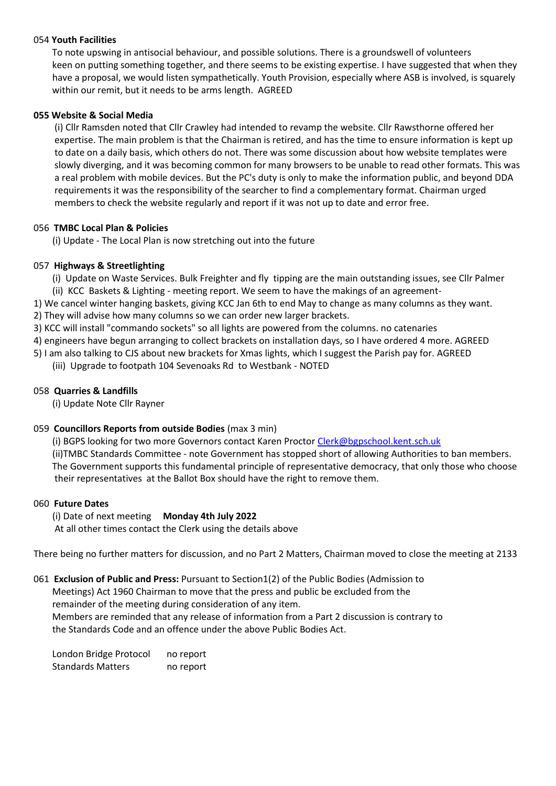# 054 **Youth Facilities**

 To note upswing in antisocial behaviour, and possible solutions. There is a groundswell of volunteers keen on putting something together, and there seems to be existing expertise. I have suggested that when they have a proposal, we would listen sympathetically. Youth Provision, especially where ASB is involved, is squarely within our remit, but it needs to be arms length. AGREED

# **055 Website & Social Media**

 (i) Cllr Ramsden noted that Cllr Crawley had intended to revamp the website. Cllr Rawsthorne offered her expertise. The main problem is that the Chairman is retired, and has the time to ensure information is kept up to date on a daily basis, which others do not. There was some discussion about how website templates were slowly diverging, and it was becoming common for many browsers to be unable to read other formats. This was a real problem with mobile devices. But the PC's duty is only to make the information public, and beyond DDA requirements it was the responsibility of the searcher to find a complementary format. Chairman urged members to check the website regularly and report if it was not up to date and error free.

# 056 **TMBC Local Plan & Policies**

(i) Update - The Local Plan is now stretching out into the future

# 057 **Highways & Streetlighting**

- (i) Update on Waste Services. Bulk Freighter and fly tipping are the main outstanding issues, see Cllr Palmer
- (ii) KCC Baskets & Lighting meeting report. We seem to have the makings of an agreement-
- 1) We cancel winter hanging baskets, giving KCC Jan 6th to end May to change as many columns as they want.
- 2) They will advise how many columns so we can order new larger brackets.
- 3) KCC will install "commando sockets" so all lights are powered from the columns. no catenaries
- 4) engineers have begun arranging to collect brackets on installation days, so I have ordered 4 more. AGREED
- 5) I am also talking to CJS about new brackets for Xmas lights, which I suggest the Parish pay for. AGREED
	- (iii) Upgrade to footpath 104 Sevenoaks Rd to Westbank NOTED

#### 058 **Quarries & Landfills**

(i) Update Note Cllr Rayner

# 059 **Councillors Reports from outside Bodies** (max 3 min)

(i) BGPS looking for two more Governors contact Karen Proctor [Clerk@bgpschool.kent.sch.uk](mailto:Clerk@bgpschool.kent.sch.uk)

 (ii)TMBC Standards Committee - note Government has stopped short of allowing Authorities to ban members. The Government supports this fundamental principle of representative democracy, that only those who choose their representatives at the Ballot Box should have the right to remove them.

#### 060 **Future Dates**

 (i) Date of next meeting **Monday 4th July 2022**  At all other times contact the Clerk using the details above

There being no further matters for discussion, and no Part 2 Matters, Chairman moved to close the meeting at 2133

#### 061 **Exclusion of Public and Press:** Pursuant to Section1(2) of the Public Bodies (Admission to Meetings) Act 1960 Chairman to move that the press and public be excluded from the remainder of the meeting during consideration of any item. Members are reminded that any release of information from a Part 2 discussion is contrary to the Standards Code and an offence under the above Public Bodies Act.

London Bridge Protocol no report Standards Matters no report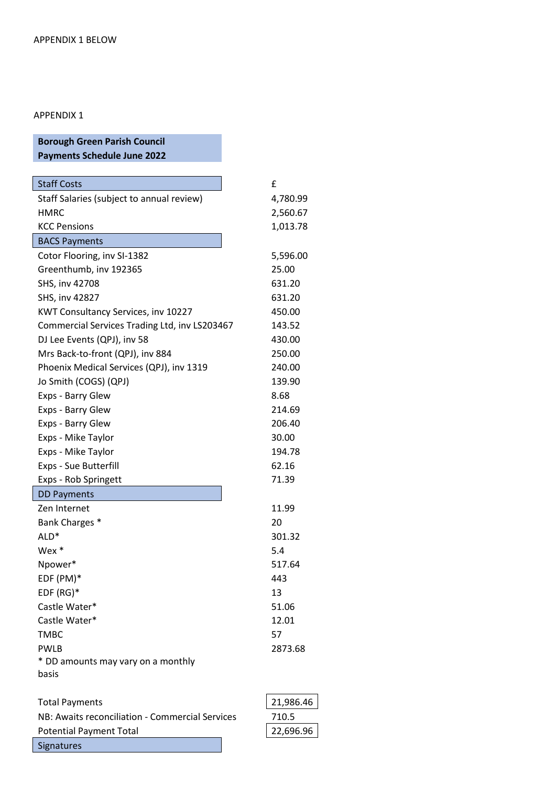# APPENDIX 1

| <b>Borough Green Parish Council</b>           |          |
|-----------------------------------------------|----------|
| <b>Payments Schedule June 2022</b>            |          |
|                                               |          |
| <b>Staff Costs</b>                            | £        |
| Staff Salaries (subject to annual review)     | 4,780.99 |
| HMRC                                          | 2,560.67 |
| <b>KCC Pensions</b>                           | 1,013.78 |
| <b>BACS Payments</b>                          |          |
| Cotor Flooring, inv SI-1382                   | 5,596.00 |
| Greenthumb, inv 192365                        | 25.00    |
| SHS, inv 42708                                | 631.20   |
| SHS, inv 42827                                | 631.20   |
| KWT Consultancy Services, inv 10227           | 450.00   |
| Commercial Services Trading Ltd, inv LS203467 | 143.52   |
| DJ Lee Events (QPJ), inv 58                   | 430.00   |
| Mrs Back-to-front (QPJ), inv 884              | 250.00   |
| Phoenix Medical Services (QPJ), inv 1319      | 240.00   |
| Jo Smith (COGS) (QPJ)                         | 139.90   |
| Exps - Barry Glew                             | 8.68     |
| Exps - Barry Glew                             | 214.69   |
| Exps - Barry Glew                             | 206.40   |
| Exps - Mike Taylor                            | 30.00    |
| Exps - Mike Taylor                            | 194.78   |
| Exps - Sue Butterfill                         | 62.16    |
| Exps - Rob Springett                          | 71.39    |
| <b>DD Payments</b>                            |          |
| Zen Internet                                  | 11.99    |
| Bank Charges *                                | 20       |
| ALD <sup>*</sup>                              | 301.32   |
| $Wex *$                                       | 5.4      |
| Npower*                                       | 517.64   |
| EDF (PM)*                                     | 443      |
| $EDF(RG)*$                                    | 13       |
| Castle Water*                                 | 51.06    |
| Castle Water*                                 | 12.01    |
| <b>TMBC</b>                                   | 57       |
| <b>PWLB</b>                                   | 2873.68  |
| * DD amounts may vary on a monthly            |          |
| basis                                         |          |
|                                               |          |

| <b>Total Payments</b>                           | 21,986.46 |
|-------------------------------------------------|-----------|
| NB: Awaits reconciliation - Commercial Services | 710.5     |
| <b>Potential Payment Total</b>                  | 22,696.96 |
| <b>Signatures</b>                               |           |